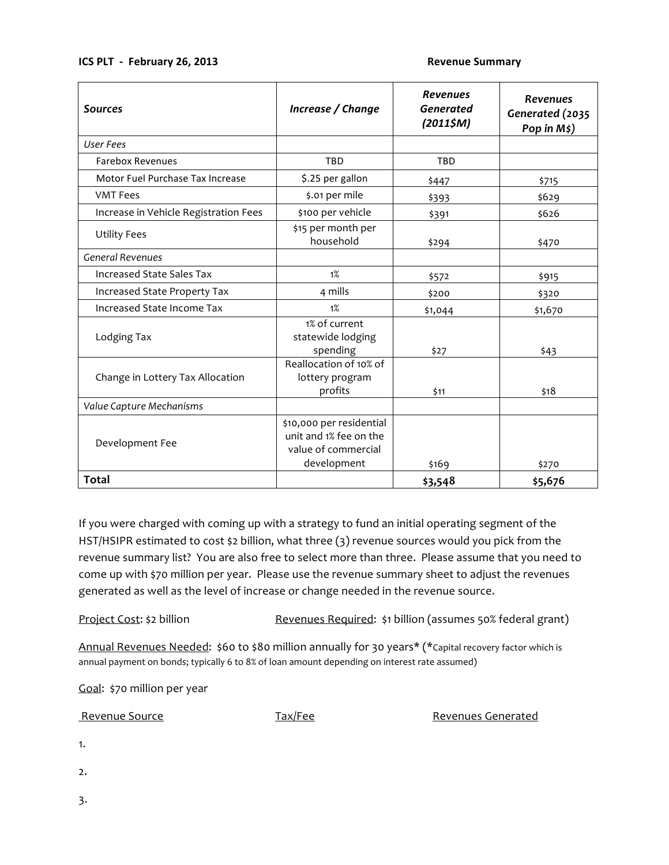## **ICS PLT - February 26, 2013 Subset of the Command Summary** Revenue Summary

| <b>Sources</b>                        | Increase / Change                                                                        | <b>Revenues</b><br><b>Generated</b><br>(20115M) | <b>Revenues</b><br>Generated (2035<br>Pop in $M\ddagger$ ) |
|---------------------------------------|------------------------------------------------------------------------------------------|-------------------------------------------------|------------------------------------------------------------|
| <b>User Fees</b>                      |                                                                                          |                                                 |                                                            |
| <b>Farebox Revenues</b>               | TBD                                                                                      | TBD                                             |                                                            |
| Motor Fuel Purchase Tax Increase      | \$.25 per gallon                                                                         | \$447                                           | \$715                                                      |
| <b>VMT Fees</b>                       | \$.01 per mile                                                                           | \$393                                           | \$629                                                      |
| Increase in Vehicle Registration Fees | \$100 per vehicle                                                                        | \$391                                           | \$626                                                      |
| <b>Utility Fees</b>                   | \$15 per month per<br>household                                                          | \$294                                           | \$470                                                      |
| <b>General Revenues</b>               |                                                                                          |                                                 |                                                            |
| <b>Increased State Sales Tax</b>      | 1%                                                                                       | \$572                                           | \$915                                                      |
| Increased State Property Tax          | 4 mills                                                                                  | \$200                                           | \$320                                                      |
| Increased State Income Tax            | 1%                                                                                       | \$1,044                                         | \$1,670                                                    |
| Lodging Tax                           | 1% of current<br>statewide lodging<br>spending                                           | \$27                                            | \$43                                                       |
| Change in Lottery Tax Allocation      | Reallocation of 10% of<br>lottery program<br>profits                                     | \$11                                            | \$18                                                       |
| Value Capture Mechanisms              |                                                                                          |                                                 |                                                            |
| Development Fee                       | \$10,000 per residential<br>unit and 1% fee on the<br>value of commercial<br>development | \$169                                           | \$270                                                      |
| <b>Total</b>                          |                                                                                          | \$3,548                                         | \$5,676                                                    |

If you were charged with coming up with a strategy to fund an initial operating segment of the HST/HSIPR estimated to cost \$2 billion, what three (3) revenue sources would you pick from the revenue summary list? You are also free to select more than three. Please assume that you need to come up with \$70 million per year. Please use the revenue summary sheet to adjust the revenues generated
as
well
as
the
level
of
increase
or
change
needed
in
the
revenue
source.

Project Cost: \$2 billion Revenues Required: \$1 billion (assumes 50% federal grant)

Annual Revenues Needed: \$60 to \$80 million annually for 30 years\* (\*Capital recovery factor which is annual payment on bonds; typically 6 to 8% of loan amount depending on interest rate assumed)

Goal: \$70 million per year

| Revenue Source | Tax/Fee | <b>Revenues Generated</b> |  |  |
|----------------|---------|---------------------------|--|--|
| 1.             |         |                           |  |  |
| 2.             |         |                           |  |  |
| 3.             |         |                           |  |  |